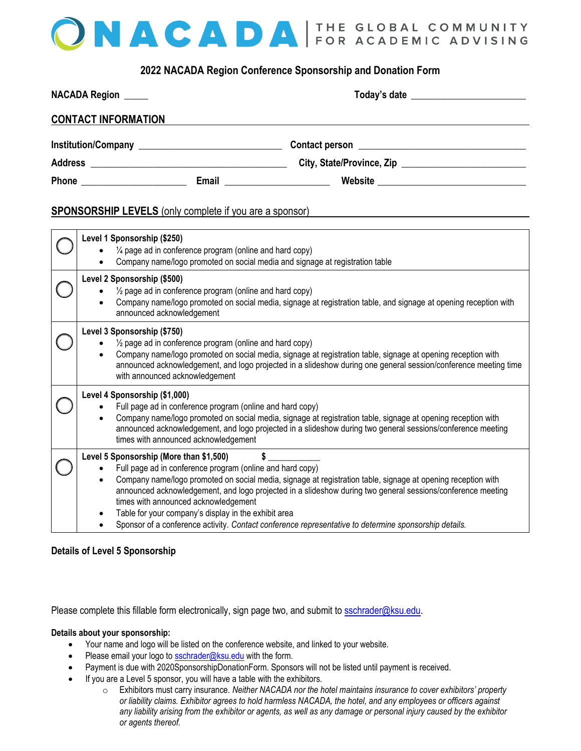# ONACADA FOR ACADEMIC ADVISING

## **2022 NACADA Region Conference Sponsorship and Donation Form**

| NACADA Region _____        |       |                                                                                                                       |  |
|----------------------------|-------|-----------------------------------------------------------------------------------------------------------------------|--|
| <b>CONTACT INFORMATION</b> |       |                                                                                                                       |  |
|                            |       |                                                                                                                       |  |
|                            |       | City, State/Province, Zip                                                                                             |  |
| Phone                      | Email | <u> 1980 - Jan Barbara Barbara, prima prima prima prima prima prima prima prima prima prima prima prima prima pri</u> |  |

#### **SPONSORSHIP LEVELS** (only complete if you are a sponsor)

| Level 1 Sponsorship (\$250)<br>1/4 page ad in conference program (online and hard copy)<br>Company name/logo promoted on social media and signage at registration table                                                                                                                                                                                                                                                                                                                                                                                                |  |  |
|------------------------------------------------------------------------------------------------------------------------------------------------------------------------------------------------------------------------------------------------------------------------------------------------------------------------------------------------------------------------------------------------------------------------------------------------------------------------------------------------------------------------------------------------------------------------|--|--|
| Level 2 Sponsorship (\$500)<br>$\frac{1}{2}$ page ad in conference program (online and hard copy)<br>Company name/logo promoted on social media, signage at registration table, and signage at opening reception with<br>announced acknowledgement                                                                                                                                                                                                                                                                                                                     |  |  |
| Level 3 Sponsorship (\$750)<br>1/2 page ad in conference program (online and hard copy)<br>Company name/logo promoted on social media, signage at registration table, signage at opening reception with<br>announced acknowledgement, and logo projected in a slideshow during one general session/conference meeting time<br>with announced acknowledgement                                                                                                                                                                                                           |  |  |
| Level 4 Sponsorship (\$1,000)<br>Full page ad in conference program (online and hard copy)<br>Company name/logo promoted on social media, signage at registration table, signage at opening reception with<br>announced acknowledgement, and logo projected in a slideshow during two general sessions/conference meeting<br>times with announced acknowledgement                                                                                                                                                                                                      |  |  |
| Level 5 Sponsorship (More than \$1,500)<br>Full page ad in conference program (online and hard copy)<br>Company name/logo promoted on social media, signage at registration table, signage at opening reception with<br>$\bullet$<br>announced acknowledgement, and logo projected in a slideshow during two general sessions/conference meeting<br>times with announced acknowledgement<br>Table for your company's display in the exhibit area<br>$\bullet$<br>Sponsor of a conference activity. Contact conference representative to determine sponsorship details. |  |  |

#### **Details of Level 5 Sponsorship**

Please complete this fillable form electronically, sign page two, and submit to [sschrader@ksu.edu.](mailto:sschrader@ksu.edu)

#### **Details about your sponsorship:**

- Your name and logo will be listed on the conference website, and linked to your website.
- Please email your logo to **sschrader@ksu.edu** with the form.
- Payment is due with 2020SponsorshipDonationForm. Sponsors will not be listed until payment is received.
- If you are a Level 5 sponsor, you will have a table with the exhibitors.
	- o Exhibitors must carry insurance*. Neither NACADA nor the hotel maintains insurance to cover exhibitors' property or liability claims. Exhibitor agrees to hold harmless NACADA, the hotel, and any employees or officers against any liability arising from the exhibitor or agents, as well as any damage or personal injury caused by the exhibitor or agents thereof.*